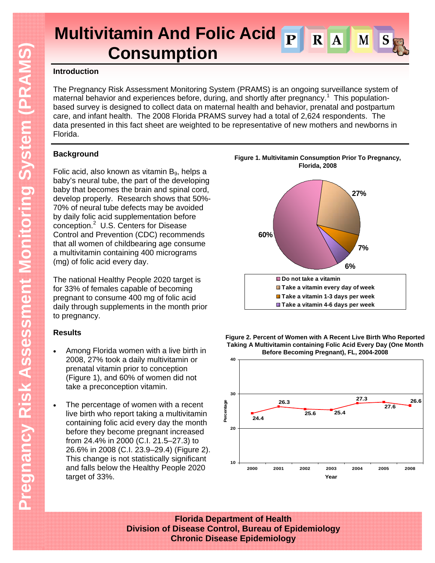#### **Multivitamin And Folic Acid**   $\overline{\mathbf{R}}$  $\overline{\mathbf{A}}$ M **Consumption**

### **Introduction**

The Pregnancy Risk Assessment Monitoring System (PRAMS) is an ongoing surveillance system of maternal behavior and experiences before, during, and shortly after pregnancy.<sup>1</sup> This populationbased survey is designed to collect data on maternal health and behavior, prenatal and postpartum care, and infant health. The 2008 Florida PRAMS survey had a total of 2,624 respondents. The data presented in this fact sheet are weighted to be representative of new mothers and newborns in Florida.

## **Background**

Folic acid, also known as vitamin  $B_9$ , helps a baby's neural tube, the part of the developing baby that becomes the brain and spinal cord, develop properly. Research shows that 50%- 70% of neural tube defects may be avoided by daily folic acid supplementation before conception.<sup>2</sup> U.S. Centers for Disease Control and Prevention (CDC) recommends that all women of childbearing age consume a multivitamin containing 400 micrograms (mg) of folic acid every day.

The national Healthy People 2020 target is for 33% of females capable of becoming pregnant to consume 400 mg of folic acid daily through supplements in the month prior to pregnancy.

# **Results**

- Among Florida women with a live birth in 2008, 27% took a daily multivitamin or prenatal vitamin prior to conception (Figure 1), and 60% of women did not take a preconception vitamin.
- The percentage of women with a recent live birth who report taking a multivitamin containing folic acid every day the month before they become pregnant increased from 24.4% in 2000 (C.I. 21.5–27.3) to 26.6% in 2008 (C.I. 23.9–29.4) (Figure 2). This change is not statistically significant and falls below the Healthy People 2020 target of 33%.







**Florida Department of Health Division of Disease Control, Bureau of Epidemiology Chronic Disease Epidemiology**